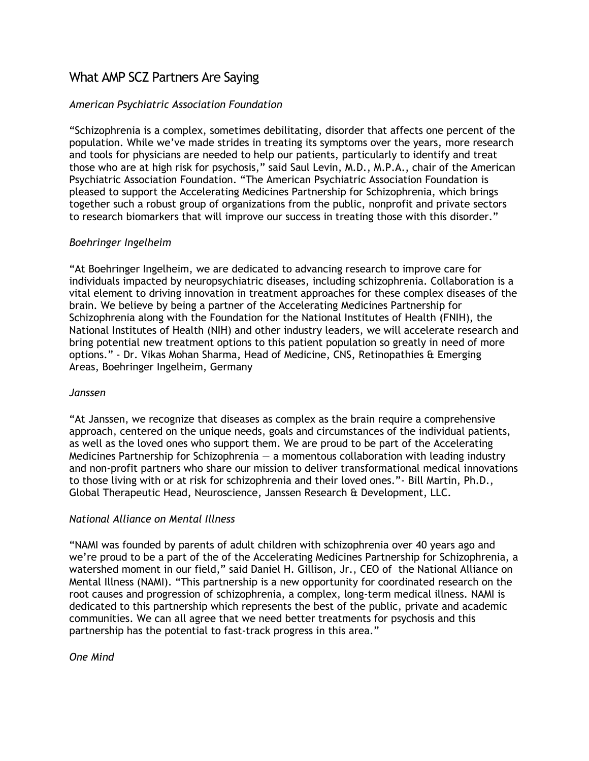# What AMP SCZ Partners Are Saying

## *American Psychiatric Association Foundation*

"Schizophrenia is a complex, sometimes debilitating, disorder that affects one percent of the population. While we've made strides in treating its symptoms over the years, more research and tools for physicians are needed to help our patients, particularly to identify and treat those who are at high risk for psychosis," said Saul Levin, M.D., M.P.A., chair of the American Psychiatric Association Foundation. "The American Psychiatric Association Foundation is pleased to support the Accelerating Medicines Partnership for Schizophrenia, which brings together such a robust group of organizations from the public, nonprofit and private sectors to research biomarkers that will improve our success in treating those with this disorder."

## *Boehringer Ingelheim*

"At Boehringer Ingelheim, we are dedicated to advancing research to improve care for individuals impacted by neuropsychiatric diseases, including schizophrenia. Collaboration is a vital element to driving innovation in treatment approaches for these complex diseases of the brain. We believe by being a partner of the Accelerating Medicines Partnership for Schizophrenia along with the Foundation for the National Institutes of Health (FNIH), the National Institutes of Health (NIH) and other industry leaders, we will accelerate research and bring potential new treatment options to this patient population so greatly in need of more options." - Dr. Vikas Mohan Sharma, Head of Medicine, CNS, Retinopathies & Emerging Areas, Boehringer Ingelheim, Germany

#### *Janssen*

"At Janssen, we recognize that diseases as complex as the brain require a comprehensive approach, centered on the unique needs, goals and circumstances of the individual patients, as well as the loved ones who support them. We are proud to be part of the Accelerating Medicines Partnership for Schizophrenia  $-$  a momentous collaboration with leading industry and non-profit partners who share our mission to deliver transformational medical innovations to those living with or at risk for schizophrenia and their loved ones."- Bill Martin, Ph.D., Global Therapeutic Head, Neuroscience, Janssen Research & Development, LLC.

## *National Alliance on Mental Illness*

"NAMI was founded by parents of adult children with schizophrenia over 40 years ago and we're proud to be a part of the of the Accelerating Medicines Partnership for Schizophrenia, a watershed moment in our field," said Daniel H. Gillison, Jr., CEO of the National Alliance on Mental Illness (NAMI). "This partnership is a new opportunity for coordinated research on the root causes and progression of schizophrenia, a complex, long-term medical illness. NAMI is dedicated to this partnership which represents the best of the public, private and academic communities. We can all agree that we need better treatments for psychosis and this partnership has the potential to fast-track progress in this area."

#### *One Mind*